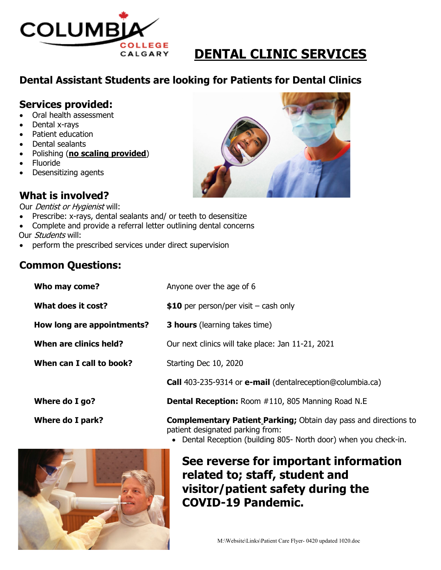

# **DENTAL CLINIC SERVICES**

## **Dental Assistant Students are looking for Patients for Dental Clinics**

#### **Services provided:**

- Oral health assessment
- Dental x-rays
- Patient education
- Dental sealants
- Polishing (**no scaling provided**)
- Fluoride
- Desensitizing agents

## **What is involved?**

Our *Dentist or Hygienist* will:

- Prescribe: x-rays, dental sealants and/ or teeth to desensitize
- Complete and provide a referral letter outlining dental concerns
- Our *Students* will:
- perform the prescribed services under direct supervision

#### **Common Questions:**

| Who may come?              | Anyone over the age of 6                                                |
|----------------------------|-------------------------------------------------------------------------|
| What does it cost?         | \$10 per person/per visit $-$ cash only                                 |
| How long are appointments? | <b>3 hours</b> (learning takes time)                                    |
| When are clinics held?     | Our next clinics will take place: Jan 11-21, 2021                       |
| When can I call to book?   | Starting Dec 10, 2020                                                   |
|                            | <b>Call</b> 403-235-9314 or <b>e-mail</b> (dentalreception@columbia.ca) |
| Where do I go?             | <b>Dental Reception: Room #110, 805 Manning Road N.E</b>                |
| <b>Where do I park?</b>    | <b>Complementary Patient Parking;</b> Obtain day pass and directions to |



• Dental Reception (building 805- North door) when you check-in.



## **See reverse for important information related to; staff, student and visitor/patient safety during the COVID-19 Pandemic.**